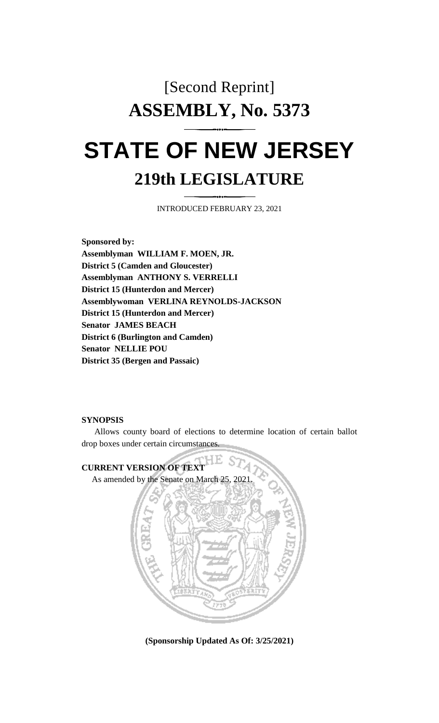## [Second Reprint] **ASSEMBLY, No. 5373 STATE OF NEW JERSEY**

## **219th LEGISLATURE**

INTRODUCED FEBRUARY 23, 2021

**Sponsored by: Assemblyman WILLIAM F. MOEN, JR. District 5 (Camden and Gloucester) Assemblyman ANTHONY S. VERRELLI District 15 (Hunterdon and Mercer) Assemblywoman VERLINA REYNOLDS-JACKSON District 15 (Hunterdon and Mercer) Senator JAMES BEACH District 6 (Burlington and Camden) Senator NELLIE POU District 35 (Bergen and Passaic)**

## **SYNOPSIS**

Allows county board of elections to determine location of certain ballot drop boxes under certain circumstances.



**(Sponsorship Updated As Of: 3/25/2021)**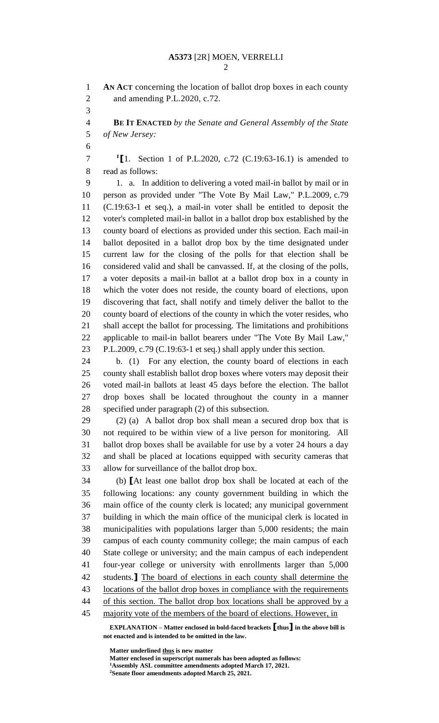**AN ACT** concerning the location of ballot drop boxes in each county and amending P.L.2020, c.72.

 **BE IT ENACTED** *by the Senate and General Assembly of the State of New Jersey:*

**1 [**1. Section 1 of P.L.2020, c.72 (C.19:63-16.1) is amended to read as follows:

 1. a. In addition to delivering a voted mail-in ballot by mail or in person as provided under "The Vote By Mail Law," P.L.2009, c.79 (C.19:63-1 et seq.), a mail-in voter shall be entitled to deposit the voter's completed mail-in ballot in a ballot drop box established by the county board of elections as provided under this section. Each mail-in ballot deposited in a ballot drop box by the time designated under current law for the closing of the polls for that election shall be considered valid and shall be canvassed. If, at the closing of the polls, a voter deposits a mail-in ballot at a ballot drop box in a county in which the voter does not reside, the county board of elections, upon discovering that fact, shall notify and timely deliver the ballot to the county board of elections of the county in which the voter resides, who shall accept the ballot for processing. The limitations and prohibitions applicable to mail-in ballot bearers under "The Vote By Mail Law," P.L.2009, c.79 (C.19:63-1 et seq.) shall apply under this section.

 b. (1) For any election, the county board of elections in each county shall establish ballot drop boxes where voters may deposit their voted mail-in ballots at least 45 days before the election. The ballot drop boxes shall be located throughout the county in a manner specified under paragraph (2) of this subsection.

 (2) (a) A ballot drop box shall mean a secured drop box that is not required to be within view of a live person for monitoring. All ballot drop boxes shall be available for use by a voter 24 hours a day and shall be placed at locations equipped with security cameras that allow for surveillance of the ballot drop box.

 (b) **[**At least one ballot drop box shall be located at each of the following locations: any county government building in which the main office of the county clerk is located; any municipal government building in which the main office of the municipal clerk is located in municipalities with populations larger than 5,000 residents; the main campus of each county community college; the main campus of each State college or university; and the main campus of each independent four-year college or university with enrollments larger than 5,000 students.**]** The board of elections in each county shall determine the locations of the ballot drop boxes in compliance with the requirements of this section. The ballot drop box locations shall be approved by a 45 majority vote of the members of the board of elections. However, in

**EXPLANATION – Matter enclosed in bold-faced brackets [thus] in the above bill is not enacted and is intended to be omitted in the law.**

**Matter underlined thus is new matter**

**Matter enclosed in superscript numerals has been adopted as follows:**

**Assembly ASL committee amendments adopted March 17, 2021.**

**Senate floor amendments adopted March 25, 2021.**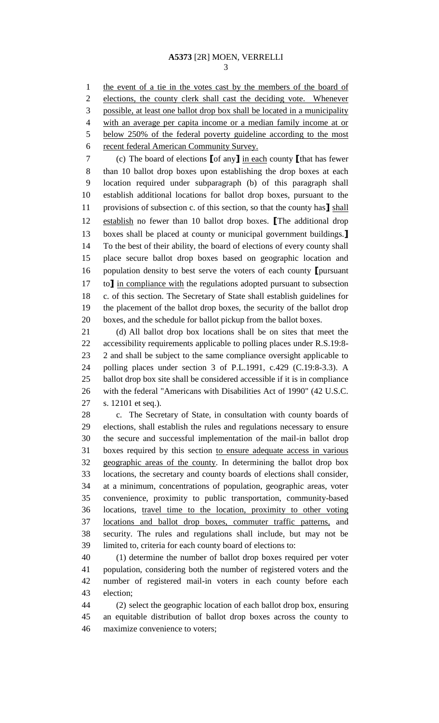1 the event of a tie in the votes cast by the members of the board of elections, the county clerk shall cast the deciding vote. Whenever possible, at least one ballot drop box shall be located in a municipality with an average per capita income or a median family income at or below 250% of the federal poverty guideline according to the most 6 recent federal American Community Survey.

 (c) The board of elections **[**of any**]** in each county **[**that has fewer than 10 ballot drop boxes upon establishing the drop boxes at each location required under subparagraph (b) of this paragraph shall establish additional locations for ballot drop boxes, pursuant to the provisions of subsection c. of this section, so that the county has**]** shall establish no fewer than 10 ballot drop boxes. **[**The additional drop boxes shall be placed at county or municipal government buildings.**]** To the best of their ability, the board of elections of every county shall place secure ballot drop boxes based on geographic location and population density to best serve the voters of each county **[**pursuant to**]** in compliance with the regulations adopted pursuant to subsection c. of this section. The Secretary of State shall establish guidelines for the placement of the ballot drop boxes, the security of the ballot drop boxes, and the schedule for ballot pickup from the ballot boxes.

 (d) All ballot drop box locations shall be on sites that meet the accessibility requirements applicable to polling places under R.S.19:8- 2 and shall be subject to the same compliance oversight applicable to polling places under section 3 of P.L.1991, c.429 (C.19:8-3.3). A ballot drop box site shall be considered accessible if it is in compliance with the federal "Americans with Disabilities Act of 1990" (42 U.S.C. s. 12101 et seq.).

 c. The Secretary of State, in consultation with county boards of elections, shall establish the rules and regulations necessary to ensure the secure and successful implementation of the mail-in ballot drop boxes required by this section to ensure adequate access in various geographic areas of the county. In determining the ballot drop box locations, the secretary and county boards of elections shall consider, at a minimum, concentrations of population, geographic areas, voter convenience, proximity to public transportation, community-based locations, travel time to the location, proximity to other voting locations and ballot drop boxes, commuter traffic patterns, and security. The rules and regulations shall include, but may not be limited to, criteria for each county board of elections to:

 (1) determine the number of ballot drop boxes required per voter population, considering both the number of registered voters and the number of registered mail-in voters in each county before each election;

 (2) select the geographic location of each ballot drop box, ensuring an equitable distribution of ballot drop boxes across the county to maximize convenience to voters;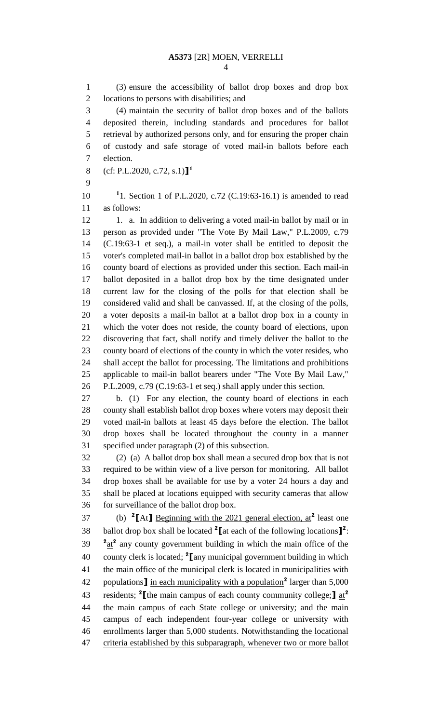(3) ensure the accessibility of ballot drop boxes and drop box locations to persons with disabilities; and (4) maintain the security of ballot drop boxes and of the ballots deposited therein, including standards and procedures for ballot retrieval by authorized persons only, and for ensuring the proper chain of custody and safe storage of voted mail-in ballots before each election. (cf: P.L.2020, c.72, s.1)**] 1** 10 <sup>1</sup>1. Section 1 of P.L.2020, c.72 (C.19:63-16.1) is amended to read as follows: 12 1. a. In addition to delivering a voted mail-in ballot by mail or in person as provided under "The Vote By Mail Law," P.L.2009, c.79 (C.19:63-1 et seq.), a mail-in voter shall be entitled to deposit the voter's completed mail-in ballot in a ballot drop box established by the county board of elections as provided under this section. Each mail-in ballot deposited in a ballot drop box by the time designated under current law for the closing of the polls for that election shall be considered valid and shall be canvassed. If, at the closing of the polls, a voter deposits a mail-in ballot at a ballot drop box in a county in which the voter does not reside, the county board of elections, upon discovering that fact, shall notify and timely deliver the ballot to the county board of elections of the county in which the voter resides, who shall accept the ballot for processing. The limitations and prohibitions applicable to mail-in ballot bearers under "The Vote By Mail Law," P.L.2009, c.79 (C.19:63-1 et seq.) shall apply under this section. b. (1) For any election, the county board of elections in each county shall establish ballot drop boxes where voters may deposit their voted mail-in ballots at least 45 days before the election. The ballot drop boxes shall be located throughout the county in a manner specified under paragraph (2) of this subsection. (2) (a) A ballot drop box shall mean a secured drop box that is not required to be within view of a live person for monitoring. All ballot drop boxes shall be available for use by a voter 24 hours a day and shall be placed at locations equipped with security cameras that allow for surveillance of the ballot drop box. 37 (b)  ${}^{2}$ [At] <u>Beginning with the 2021 general election, at</u><sup>2</sup> least one 38 ballot drop box shall be located at each of the following locations  $\mathbf{I}^2$ :  $a_{\text{at}}^2$  any county government building in which the main office of the county clerk is located; **<sup>2</sup> [**any municipal government building in which the main office of the municipal clerk is located in municipalities with 42 populations **]** in each municipality with a population<sup>2</sup> larger than 5,000 residents; **<sup>2</sup> [**the main campus of each county community college;**]** at**<sup>2</sup>** the main campus of each State college or university; and the main campus of each independent four-year college or university with enrollments larger than 5,000 students. Notwithstanding the locational 47 criteria established by this subparagraph, whenever two or more ballot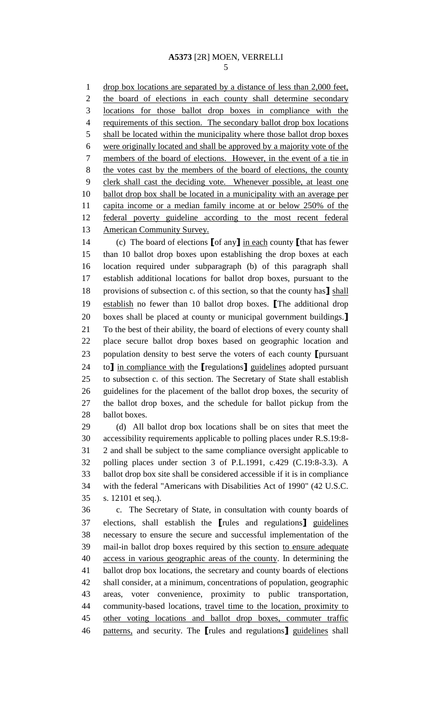1 drop box locations are separated by a distance of less than 2,000 feet, the board of elections in each county shall determine secondary locations for those ballot drop boxes in compliance with the requirements of this section. The secondary ballot drop box locations shall be located within the municipality where those ballot drop boxes were originally located and shall be approved by a majority vote of the members of the board of elections. However, in the event of a tie in 8 the votes cast by the members of the board of elections, the county clerk shall cast the deciding vote. Whenever possible, at least one 10 ballot drop box shall be located in a municipality with an average per capita income or a median family income at or below 250% of the federal poverty guideline according to the most recent federal 13 American Community Survey.

 (c) The board of elections **[**of any**]** in each county **[**that has fewer than 10 ballot drop boxes upon establishing the drop boxes at each location required under subparagraph (b) of this paragraph shall establish additional locations for ballot drop boxes, pursuant to the provisions of subsection c. of this section, so that the county has**]** shall establish no fewer than 10 ballot drop boxes. **[**The additional drop boxes shall be placed at county or municipal government buildings.**]** To the best of their ability, the board of elections of every county shall place secure ballot drop boxes based on geographic location and population density to best serve the voters of each county **[**pursuant to**]** in compliance with the **[**regulations**]** guidelines adopted pursuant to subsection c. of this section. The Secretary of State shall establish guidelines for the placement of the ballot drop boxes, the security of the ballot drop boxes, and the schedule for ballot pickup from the ballot boxes.

 (d) All ballot drop box locations shall be on sites that meet the accessibility requirements applicable to polling places under R.S.19:8- 2 and shall be subject to the same compliance oversight applicable to polling places under section 3 of P.L.1991, c.429 (C.19:8-3.3). A ballot drop box site shall be considered accessible if it is in compliance with the federal "Americans with Disabilities Act of 1990" (42 U.S.C. s. 12101 et seq.).

 c. The Secretary of State, in consultation with county boards of elections, shall establish the **[**rules and regulations**]** guidelines necessary to ensure the secure and successful implementation of the mail-in ballot drop boxes required by this section to ensure adequate access in various geographic areas of the county. In determining the ballot drop box locations, the secretary and county boards of elections shall consider, at a minimum, concentrations of population, geographic areas, voter convenience, proximity to public transportation, community-based locations, travel time to the location, proximity to other voting locations and ballot drop boxes, commuter traffic patterns, and security. The **[**rules and regulations**]** guidelines shall